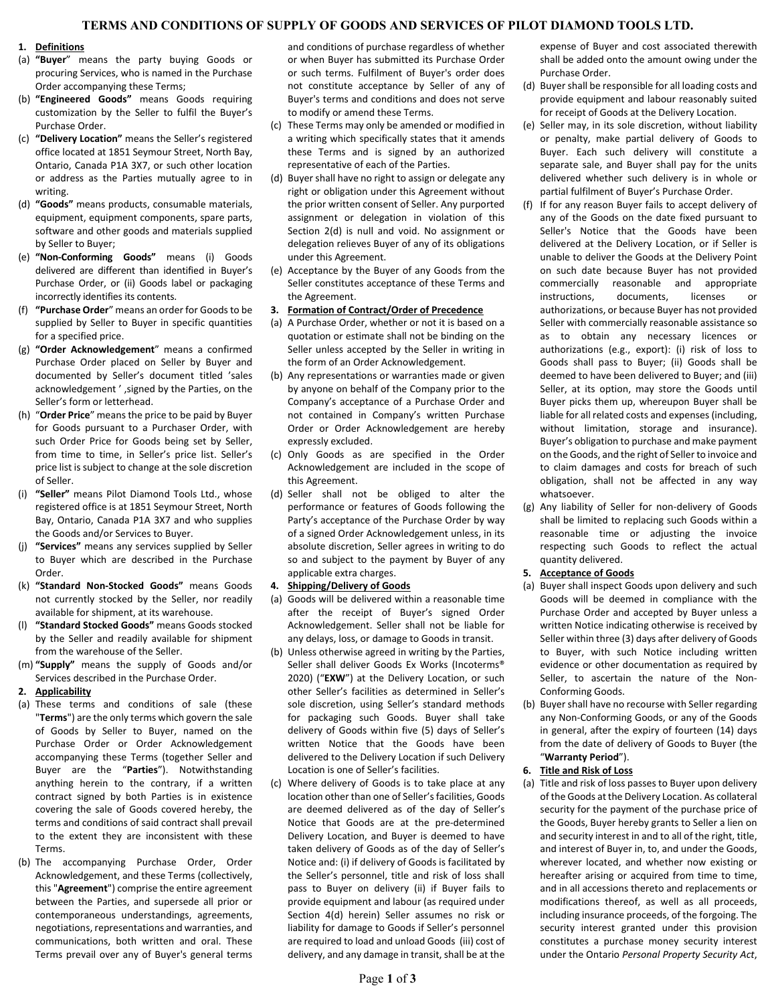# **TERMS AND CONDITIONS OF SUPPLY OF GOODS AND SERVICES OF PILOT DIAMOND TOOLS LTD.**

## **1. Definitions**

- (a) **"Buyer**" means the party buying Goods or procuring Services, who is named in the Purchase Order accompanying these Terms;
- (b) **"Engineered Goods"** means Goods requiring customization by the Seller to fulfil the Buyer's Purchase Order.
- (c) **"Delivery Location"** means the Seller's registered office located at 1851 Seymour Street, North Bay, Ontario, Canada P1A 3X7, or such other location or address as the Parties mutually agree to in writing.
- (d) **"Goods"** means products, consumable materials, equipment, equipment components, spare parts, software and other goods and materials supplied by Seller to Buyer;
- (e) **"Non-Conforming Goods"** means (i) Goods delivered are different than identified in Buyer's Purchase Order, or (ii) Goods label or packaging incorrectly identifies its contents.
- (f) **"Purchase Order**" means an order for Goods to be supplied by Seller to Buyer in specific quantities for a specified price.
- (g) **"Order Acknowledgement**" means a confirmed Purchase Order placed on Seller by Buyer and documented by Seller's document titled 'sales acknowledgement ' ,signed by the Parties, on the Seller's form or letterhead.
- (h) "**Order Price**" means the price to be paid by Buyer for Goods pursuant to a Purchaser Order, with such Order Price for Goods being set by Seller, from time to time, in Seller's price list. Seller's price list is subject to change at the sole discretion of Seller.
- (i) **"Seller"** means Pilot Diamond Tools Ltd., whose registered office is at 1851 Seymour Street, North Bay, Ontario, Canada P1A 3X7 and who supplies the Goods and/or Services to Buyer.
- (j) **"Services"** means any services supplied by Seller to Buyer which are described in the Purchase Order.
- (k) **"Standard Non-Stocked Goods"** means Goods not currently stocked by the Seller, nor readily available for shipment, at its warehouse.
- (l) **"Standard Stocked Goods"** means Goods stocked by the Seller and readily available for shipment from the warehouse of the Seller.
- (m) **"Supply"** means the supply of Goods and/or Services described in the Purchase Order.

## **2. Applicability**

- (a) These terms and conditions of sale (these "**Terms**") are the only terms which govern the sale of Goods by Seller to Buyer, named on the Purchase Order or Order Acknowledgement accompanying these Terms (together Seller and Buyer are the "**Parties**"). Notwithstanding anything herein to the contrary, if a written contract signed by both Parties is in existence covering the sale of Goods covered hereby, the terms and conditions of said contract shall prevail to the extent they are inconsistent with these Terms.
- (b) The accompanying Purchase Order, Order Acknowledgement, and these Terms (collectively, this "**Agreement**") comprise the entire agreement between the Parties, and supersede all prior or contemporaneous understandings, agreements, negotiations, representations and warranties, and communications, both written and oral. These Terms prevail over any of Buyer's general terms

and conditions of purchase regardless of whether or when Buyer has submitted its Purchase Order or such terms. Fulfilment of Buyer's order does not constitute acceptance by Seller of any of Buyer's terms and conditions and does not serve to modify or amend these Terms.

- (c) These Terms may only be amended or modified in a writing which specifically states that it amends these Terms and is signed by an authorized representative of each of the Parties.
- (d) Buyer shall have no right to assign or delegate any right or obligation under this Agreement without the prior written consent of Seller. Any purported assignment or delegation in violation of this Section 2(d) is null and void. No assignment or delegation relieves Buyer of any of its obligations under this Agreement.
- (e) Acceptance by the Buyer of any Goods from the Seller constitutes acceptance of these Terms and the Agreement.

## **3. Formation of Contract/Order of Precedence**

- (a) A Purchase Order, whether or not it is based on a quotation or estimate shall not be binding on the Seller unless accepted by the Seller in writing in the form of an Order Acknowledgement.
- (b) Any representations or warranties made or given by anyone on behalf of the Company prior to the Company's acceptance of a Purchase Order and not contained in Company's written Purchase Order or Order Acknowledgement are hereby expressly excluded.
- (c) Only Goods as are specified in the Order Acknowledgement are included in the scope of this Agreement.
- (d) Seller shall not be obliged to alter the performance or features of Goods following the Party's acceptance of the Purchase Order by way of a signed Order Acknowledgement unless, in its absolute discretion, Seller agrees in writing to do so and subject to the payment by Buyer of any applicable extra charges.

## **4. Shipping/Delivery of Goods**

- (a) Goods will be delivered within a reasonable time after the receipt of Buyer's signed Order Acknowledgement. Seller shall not be liable for any delays, loss, or damage to Goods in transit.
- (b) Unless otherwise agreed in writing by the Parties, Seller shall deliver Goods Ex Works (Incoterms® 2020) ("**EXW**") at the Delivery Location, or such other Seller's facilities as determined in Seller's sole discretion, using Seller's standard methods for packaging such Goods. Buyer shall take delivery of Goods within five (5) days of Seller's written Notice that the Goods have been delivered to the Delivery Location if such Delivery Location is one of Seller's facilities.
- (c) Where delivery of Goods is to take place at any location other than one of Seller's facilities, Goods are deemed delivered as of the day of Seller's Notice that Goods are at the pre-determined Delivery Location, and Buyer is deemed to have taken delivery of Goods as of the day of Seller's Notice and: (i) if delivery of Goods is facilitated by the Seller's personnel, title and risk of loss shall pass to Buyer on delivery (ii) if Buyer fails to provide equipment and labour (as required under Section 4(d) herein) Seller assumes no risk or liability for damage to Goods if Seller's personnel are required to load and unload Goods (iii) cost of delivery, and any damage in transit, shall be at the

expense of Buyer and cost associated therewith shall be added onto the amount owing under the Purchase Order.

- (d) Buyer shall be responsible for all loading costs and provide equipment and labour reasonably suited for receipt of Goods at the Delivery Location.
- (e) Seller may, in its sole discretion, without liability or penalty, make partial delivery of Goods to Buyer. Each such delivery will constitute a separate sale, and Buyer shall pay for the units delivered whether such delivery is in whole or partial fulfilment of Buyer's Purchase Order.
- (f) If for any reason Buyer fails to accept delivery of any of the Goods on the date fixed pursuant to Seller's Notice that the Goods have been delivered at the Delivery Location, or if Seller is unable to deliver the Goods at the Delivery Point on such date because Buyer has not provided commercially reasonable and appropriate instructions, documents, licenses or authorizations, or because Buyer has not provided Seller with commercially reasonable assistance so as to obtain any necessary licences or authorizations (e.g., export): (i) risk of loss to Goods shall pass to Buyer; (ii) Goods shall be deemed to have been delivered to Buyer; and (iii) Seller, at its option, may store the Goods until Buyer picks them up, whereupon Buyer shall be liable for all related costs and expenses (including, without limitation, storage and insurance). Buyer's obligation to purchase and make payment on the Goods, and the right of Seller to invoice and to claim damages and costs for breach of such obligation, shall not be affected in any way whatsoever.
- (g) Any liability of Seller for non-delivery of Goods shall be limited to replacing such Goods within a reasonable time or adjusting the invoice respecting such Goods to reflect the actual quantity delivered.

# **5. Acceptance of Goods**

- (a) Buyer shall inspect Goods upon delivery and such Goods will be deemed in compliance with the Purchase Order and accepted by Buyer unless a written Notice indicating otherwise is received by Seller within three (3) days after delivery of Goods to Buyer, with such Notice including written evidence or other documentation as required by Seller, to ascertain the nature of the Non-Conforming Goods.
- (b) Buyer shall have no recourse with Seller regarding any Non-Conforming Goods, or any of the Goods in general, after the expiry of fourteen (14) days from the date of delivery of Goods to Buyer (the "**Warranty Period**").

#### **6. Title and Risk of Loss**

(a) Title and risk of loss passes to Buyer upon delivery of the Goods at the Delivery Location. As collateral security for the payment of the purchase price of the Goods, Buyer hereby grants to Seller a lien on and security interest in and to all of the right, title, and interest of Buyer in, to, and under the Goods, wherever located, and whether now existing or hereafter arising or acquired from time to time, and in all accessions thereto and replacements or modifications thereof, as well as all proceeds, including insurance proceeds, of the forgoing. The security interest granted under this provision constitutes a purchase money security interest under the Ontario *Personal Property Security Act*,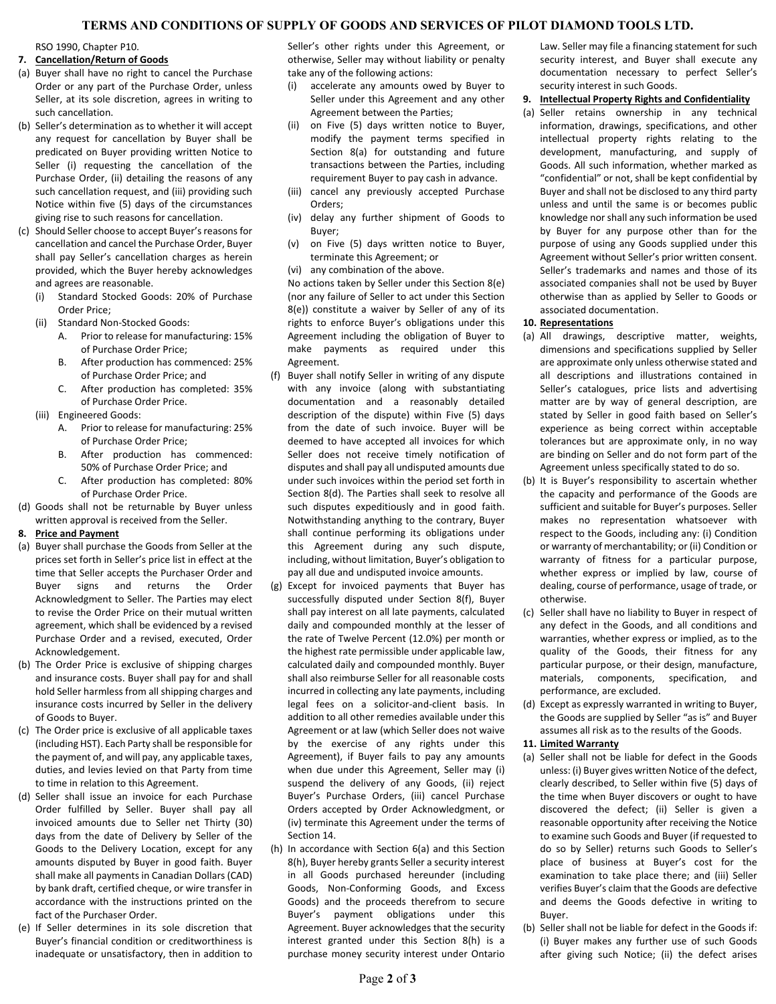# **TERMS AND CONDITIONS OF SUPPLY OF GOODS AND SERVICES OF PILOT DIAMOND TOOLS LTD.**

RSO 1990, Chapter P10.

## **7. Cancellation/Return of Goods**

- (a) Buyer shall have no right to cancel the Purchase Order or any part of the Purchase Order, unless Seller, at its sole discretion, agrees in writing to such cancellation.
- (b) Seller's determination as to whether it will accept any request for cancellation by Buyer shall be predicated on Buyer providing written Notice to Seller (i) requesting the cancellation of the Purchase Order, (ii) detailing the reasons of any such cancellation request, and (iii) providing such Notice within five (5) days of the circumstances giving rise to such reasons for cancellation.
- (c) Should Seller choose to accept Buyer's reasons for cancellation and cancel the Purchase Order, Buyer shall pay Seller's cancellation charges as herein provided, which the Buyer hereby acknowledges and agrees are reasonable.
	- (i) Standard Stocked Goods: 20% of Purchase Order Price;
	- (ii) Standard Non-Stocked Goods:
		- A. Prior to release for manufacturing: 15% of Purchase Order Price;
		- B. After production has commenced: 25% of Purchase Order Price; and
		- C. After production has completed: 35% of Purchase Order Price.
	- (iii) Engineered Goods:
		- A. Prior to release for manufacturing: 25% of Purchase Order Price;
		- B. After production has commenced: 50% of Purchase Order Price; and
		- C. After production has completed: 80% of Purchase Order Price.
- (d) Goods shall not be returnable by Buyer unless written approval is received from the Seller.

## <span id="page-1-0"></span>**8. Price and Payment**

- (a) Buyer shall purchase the Goods from Seller at the prices set forth in Seller's price list in effect at the time that Seller accepts the Purchaser Order and Buyer signs and returns the Order Acknowledgment to Seller. The Parties may elect to revise the Order Price on their mutual written agreement, which shall be evidenced by a revised Purchase Order and a revised, executed, Order Acknowledgement.
- (b) The Order Price is exclusive of shipping charges and insurance costs. Buyer shall pay for and shall hold Seller harmless from all shipping charges and insurance costs incurred by Seller in the delivery of Goods to Buyer.
- (c) The Order price is exclusive of all applicable taxes (including HST). Each Party shall be responsible for the payment of, and will pay, any applicable taxes, duties, and levies levied on that Party from time to time in relation to this Agreement.
- (d) Seller shall issue an invoice for each Purchase Order fulfilled by Seller. Buyer shall pay all invoiced amounts due to Seller net Thirty (30) days from the date of Delivery by Seller of the Goods to the Delivery Location, except for any amounts disputed by Buyer in good faith. Buyer shall make all payments in Canadian Dollars (CAD) by bank draft, certified cheque, or wire transfer in accordance with the instructions printed on the fact of the Purchaser Order.
- (e) If Seller determines in its sole discretion that Buyer's financial condition or creditworthiness is inadequate or unsatisfactory, then in addition to

Seller's other rights under this Agreement, or otherwise, Seller may without liability or penalty take any of the following actions:

- (i) accelerate any amounts owed by Buyer to Seller under this Agreement and any other Agreement between the Parties;
- (ii) on Five (5) days written notice to Buyer, modify the payment terms specified in Section 8(a) for outstanding and future transactions between the Parties, including requirement Buyer to pay cash in advance.
- (iii) cancel any previously accepted Purchase Orders;
- (iv) delay any further shipment of Goods to Buyer;
- (v) on Five (5) days written notice to Buyer, terminate this Agreement; or
- (vi) any combination of the above.

No actions taken by Seller under this Section 8(e) (nor any failure of Seller to act under this Section 8(e)) constitute a waiver by Seller of any of its rights to enforce Buyer's obligations under this Agreement including the obligation of Buyer to make payments as required under this Agreement.

- (f) Buyer shall notify Seller in writing of any dispute with any invoice (along with substantiating documentation and a reasonably detailed description of the dispute) within Five (5) days from the date of such invoice. Buyer will be deemed to have accepted all invoices for which Seller does not receive timely notification of disputes and shall pay all undisputed amounts due under such invoices within the period set forth in Section 8(d). The Parties shall seek to resolve all such disputes expeditiously and in good faith. Notwithstanding anything to the contrary, Buyer shall continue performing its obligations under this Agreement during any such dispute, including, without limitation, Buyer's obligation to pay all due and undisputed invoice amounts.
- (g) Except for invoiced payments that Buyer has successfully disputed under Section 8(f), Buyer shall pay interest on all late payments, calculated daily and compounded monthly at the lesser of the rate of Twelve Percent (12.0%) per month or the highest rate permissible under applicable law, calculated daily and compounded monthly. Buyer shall also reimburse Seller for all reasonable costs incurred in collecting any late payments, including legal fees on a solicitor-and-client basis. In addition to all other remedies available under this Agreement or at law (which Seller does not waive by the exercise of any rights under this Agreement), if Buyer fails to pay any amounts when due under this Agreement, Seller may (i) suspend the delivery of any Goods, (ii) reject Buyer's Purchase Orders, (iii) cancel Purchase Orders accepted by Order Acknowledgment, or (iv) terminate this Agreement under the terms of Section 14.
- (h) In accordance with Section 6(a) and this Section 8(h), Buyer hereby grants Seller a security interest in all Goods purchased hereunder (including Goods, Non-Conforming Goods, and Excess Goods) and the proceeds therefrom to secure Buyer's payment obligations under this Agreement. Buyer acknowledges that the security interest granted under this Section 8(h) is a purchase money security interest under Ontario

Law. Seller may file a financing statement for such security interest, and Buyer shall execute any documentation necessary to perfect Seller's security interest in such Goods.

- <span id="page-1-1"></span>**9. Intellectual Property Rights and Confidentiality**
- (a) Seller retains ownership in any technical information, drawings, specifications, and other intellectual property rights relating to the development, manufacturing, and supply of Goods. All such information, whether marked as "confidential" or not, shall be kept confidential by Buyer and shall not be disclosed to any third party unless and until the same is or becomes public knowledge nor shall any such information be used by Buyer for any purpose other than for the purpose of using any Goods supplied under this Agreement without Seller's prior written consent. Seller's trademarks and names and those of its associated companies shall not be used by Buyer otherwise than as applied by Seller to Goods or associated documentation.

## **10. Representations**

- (a) All drawings, descriptive matter, weights, dimensions and specifications supplied by Seller are approximate only unless otherwise stated and all descriptions and illustrations contained in Seller's catalogues, price lists and advertising matter are by way of general description, are stated by Seller in good faith based on Seller's experience as being correct within acceptable tolerances but are approximate only, in no way are binding on Seller and do not form part of the Agreement unless specifically stated to do so.
- (b) It is Buyer's responsibility to ascertain whether the capacity and performance of the Goods are sufficient and suitable for Buyer's purposes. Seller makes no representation whatsoever with respect to the Goods, including any: (i) Condition or warranty of merchantability; or (ii) Condition or warranty of fitness for a particular purpose, whether express or implied by law, course of dealing, course of performance, usage of trade, or otherwise.
- (c) Seller shall have no liability to Buyer in respect of any defect in the Goods, and all conditions and warranties, whether express or implied, as to the quality of the Goods, their fitness for any particular purpose, or their design, manufacture, materials, components, specification, and performance, are excluded.
- (d) Except as expressly warranted in writing to Buyer, the Goods are supplied by Seller "as is" and Buyer assumes all risk as to the results of the Goods.

## <span id="page-1-2"></span>**11. Limited Warranty**

- (a) Seller shall not be liable for defect in the Goods unless: (i) Buyer gives written Notice of the defect, clearly described, to Seller within five (5) days of the time when Buyer discovers or ought to have discovered the defect; (ii) Seller is given a reasonable opportunity after receiving the Notice to examine such Goods and Buyer (if requested to do so by Seller) returns such Goods to Seller's place of business at Buyer's cost for the examination to take place there; and (iii) Seller verifies Buyer's claim that the Goods are defective and deems the Goods defective in writing to Buyer.
- (b) Seller shall not be liable for defect in the Goods if: (i) Buyer makes any further use of such Goods after giving such Notice; (ii) the defect arises